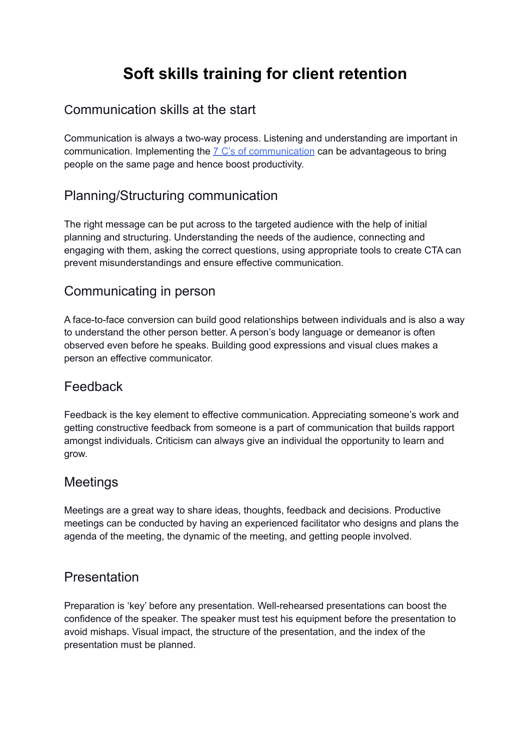# **Soft skills training for client retention**

### Communication skills at the start

Communication is always a two-way process. Listening and understanding are important in [communication](https://www.mindtools.com/pages/article/newCS_85.htm). Implementing the  $7 \text{ C's of communication}$  can be advantageous to bring people on the same page and hence boost productivity.

# Planning/Structuring communication

The right message can be put across to the targeted audience with the help of initial planning and structuring. Understanding the needs of the audience, connecting and engaging with them, asking the correct questions, using appropriate tools to create CTA can prevent misunderstandings and ensure effective communication.

#### Communicating in person

A face-to-face conversion can build good relationships between individuals and is also a way to understand the other person better. A person's body language or demeanor is often observed even before he speaks. Building good expressions and visual clues makes a person an effective communicator.

# Feedback

Feedback is the key element to effective communication. Appreciating someone's work and getting constructive feedback from someone is a part of communication that builds rapport amongst individuals. Criticism can always give an individual the opportunity to learn and grow.

#### Meetings

Meetings are a great way to share ideas, thoughts, feedback and decisions. Productive meetings can be conducted by having an experienced facilitator who designs and plans the agenda of the meeting, the dynamic of the meeting, and getting people involved.

#### Presentation

Preparation is 'key' before any presentation. Well-rehearsed presentations can boost the confidence of the speaker. The speaker must test his equipment before the presentation to avoid mishaps. Visual impact, the structure of the presentation, and the index of the presentation must be planned.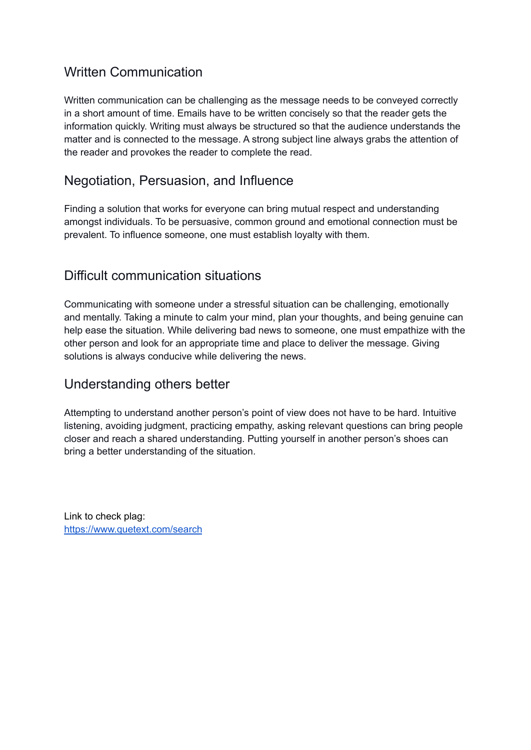# Written Communication

Written communication can be challenging as the message needs to be conveyed correctly in a short amount of time. Emails have to be written concisely so that the reader gets the information quickly. Writing must always be structured so that the audience understands the matter and is connected to the message. A strong subject line always grabs the attention of the reader and provokes the reader to complete the read.

## Negotiation, Persuasion, and Influence

Finding a solution that works for everyone can bring mutual respect and understanding amongst individuals. To be persuasive, common ground and emotional connection must be prevalent. To influence someone, one must establish loyalty with them.

#### Difficult communication situations

Communicating with someone under a stressful situation can be challenging, emotionally and mentally. Taking a minute to calm your mind, plan your thoughts, and being genuine can help ease the situation. While delivering bad news to someone, one must empathize with the other person and look for an appropriate time and place to deliver the message. Giving solutions is always conducive while delivering the news.

#### Understanding others better

Attempting to understand another person's point of view does not have to be hard. Intuitive listening, avoiding judgment, practicing empathy, asking relevant questions can bring people closer and reach a shared understanding. Putting yourself in another person's shoes can bring a better understanding of the situation.

Link to check plag: <https://www.quetext.com/search>